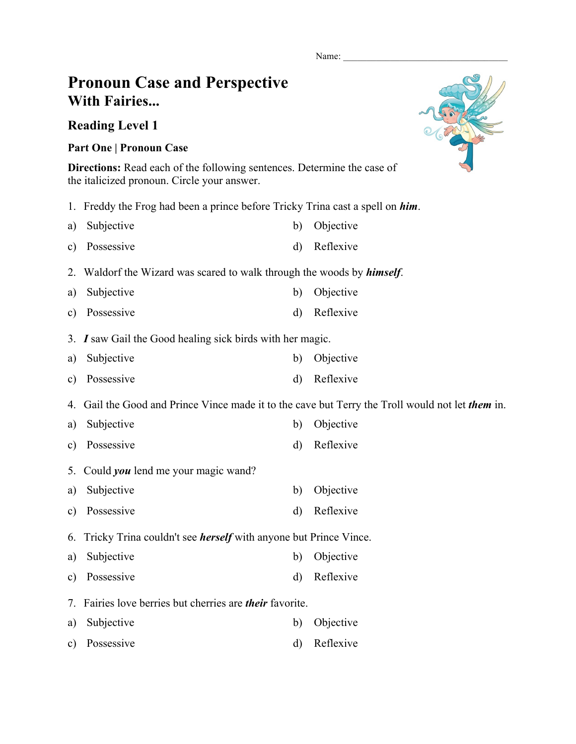Name:

## **Pronoun Case and Perspective With Fairies...**

## **Reading Level 1**

## **Part One | Pronoun Case**

**Directions:** Read each of the following sentences. Determine the case of the italicized pronoun. Circle your answer.

- 1. Freddy the Frog had been a prince before Tricky Trina cast a spell on *him*.
- a) Subjective b) Objective c) Possessive d) Reflexive
- 2. Waldorf the Wizard was scared to walk through the woods by *himself*.
- a) Subjective b) Objective
- c) Possessive d) Reflexive
- 3. *I* saw Gail the Good healing sick birds with her magic.
- a) Subjective b) Objective
- c) Possessive d) Reflexive
- 4. Gail the Good and Prince Vince made it to the cave but Terry the Troll would not let *them* in.
- a) Subjective b) Objective
- c) Possessive d) Reflexive
- 5. Could *you* lend me your magic wand?
- a) Subjective b) Objective
- c) Possessive d) Reflexive
- 6. Tricky Trina couldn't see *herself* with anyone but Prince Vince.
- a) Subjective b) Objective
- c) Possessive d) Reflexive
- 7. Fairies love berries but cherries are *their* favorite.
- a) Subjective b) Objective
- c) Possessive d) Reflexive

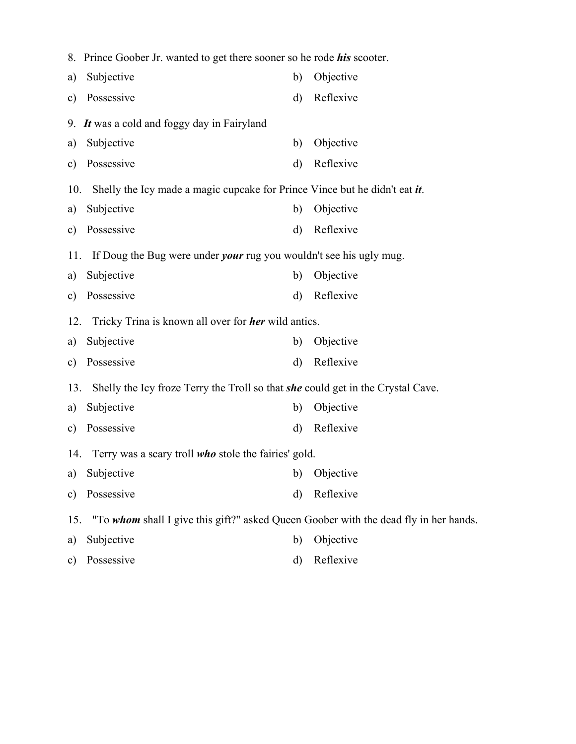|               | 8. Prince Goober Jr. wanted to get there sooner so he rode <i>his</i> scooter.         |         |              |  |  |  |  |  |  |
|---------------|----------------------------------------------------------------------------------------|---------|--------------|--|--|--|--|--|--|
| a)            | Subjective                                                                             | b)      | Objective    |  |  |  |  |  |  |
| $\mathbf{c})$ | Possessive                                                                             | $\rm d$ | Reflexive    |  |  |  |  |  |  |
|               | 9. It was a cold and foggy day in Fairyland                                            |         |              |  |  |  |  |  |  |
| a)            | Subjective                                                                             | b)      | Objective    |  |  |  |  |  |  |
| $\mathbf{c})$ | Possessive                                                                             | d)      | Reflexive    |  |  |  |  |  |  |
| 10.           | Shelly the Icy made a magic cupcake for Prince Vince but he didn't eat <i>it</i> .     |         |              |  |  |  |  |  |  |
| a)            | Subjective                                                                             | b)      | Objective    |  |  |  |  |  |  |
| $\mathbf{c})$ | Possessive                                                                             | d)      | Reflexive    |  |  |  |  |  |  |
| 11.           | If Doug the Bug were under <i>your</i> rug you wouldn't see his ugly mug.              |         |              |  |  |  |  |  |  |
| a)            | Subjective                                                                             | b)      | Objective    |  |  |  |  |  |  |
| $\mathbf{c})$ | Possessive                                                                             | d)      | Reflexive    |  |  |  |  |  |  |
| 12.           | Tricky Trina is known all over for <b>her</b> wild antics.                             |         |              |  |  |  |  |  |  |
| a)            | Subjective                                                                             | b)      | Objective    |  |  |  |  |  |  |
| $\mathbf{c})$ | Possessive                                                                             | d)      | Reflexive    |  |  |  |  |  |  |
| 13.           | Shelly the Icy froze Terry the Troll so that <i>she</i> could get in the Crystal Cave. |         |              |  |  |  |  |  |  |
| a)            | Subjective                                                                             | b)      | Objective    |  |  |  |  |  |  |
| $\mathbf{c})$ | Possessive                                                                             | d)      | Reflexive    |  |  |  |  |  |  |
|               | 14. Terry was a scary troll who stole the fairies' gold.                               |         |              |  |  |  |  |  |  |
|               | a) Subjective                                                                          |         | b) Objective |  |  |  |  |  |  |
| $\mathbf{c})$ | Possessive                                                                             | d)      | Reflexive    |  |  |  |  |  |  |
| 15.           | "To whom shall I give this gift?" asked Queen Goober with the dead fly in her hands.   |         |              |  |  |  |  |  |  |
| a)            | Subjective                                                                             | b)      | Objective    |  |  |  |  |  |  |
| $\mathbf{c})$ | Possessive                                                                             | d)      | Reflexive    |  |  |  |  |  |  |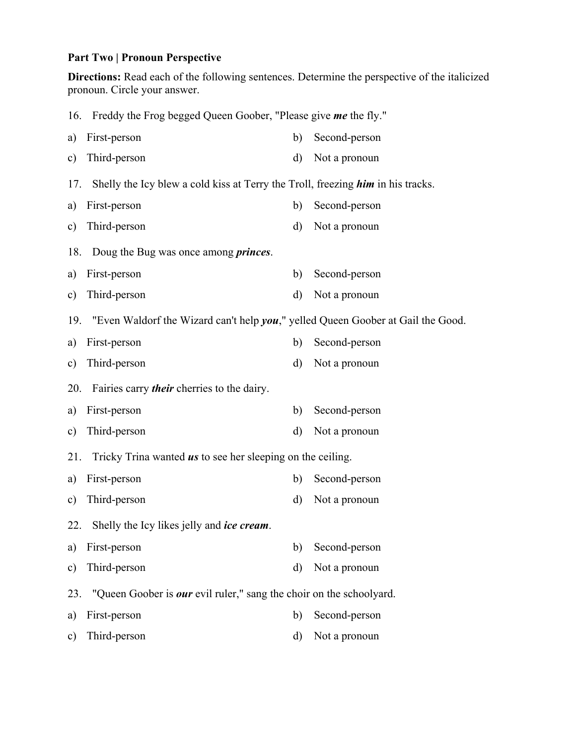## **Part Two | Pronoun Perspective**

**Directions:** Read each of the following sentences. Determine the perspective of the italicized pronoun. Circle your answer.

|               | 16. Freddy the Frog begged Queen Goober, "Please give me the fly."              |         |               |  |  |  |  |
|---------------|---------------------------------------------------------------------------------|---------|---------------|--|--|--|--|
| a)            | First-person                                                                    | b)      | Second-person |  |  |  |  |
| c)            | Third-person                                                                    | d)      | Not a pronoun |  |  |  |  |
| 17.           | Shelly the Icy blew a cold kiss at Terry the Troll, freezing him in his tracks. |         |               |  |  |  |  |
| a)            | First-person                                                                    | b)      | Second-person |  |  |  |  |
| c)            | Third-person                                                                    | d)      | Not a pronoun |  |  |  |  |
| 18.           | Doug the Bug was once among <i>princes</i> .                                    |         |               |  |  |  |  |
| a)            | First-person                                                                    | b)      | Second-person |  |  |  |  |
| c)            | Third-person                                                                    | d)      | Not a pronoun |  |  |  |  |
| 19.           | "Even Waldorf the Wizard can't help you," yelled Queen Goober at Gail the Good. |         |               |  |  |  |  |
| a)            | First-person                                                                    | b)      | Second-person |  |  |  |  |
| $\mathbf{c})$ | Third-person                                                                    | d)      | Not a pronoun |  |  |  |  |
|               |                                                                                 |         |               |  |  |  |  |
| 20.           | Fairies carry <i>their</i> cherries to the dairy.                               |         |               |  |  |  |  |
| a)            | First-person                                                                    | b)      | Second-person |  |  |  |  |
| c)            | Third-person                                                                    | d)      | Not a pronoun |  |  |  |  |
| 21.           | Tricky Trina wanted <i>us</i> to see her sleeping on the ceiling.               |         |               |  |  |  |  |
| a)            | First-person                                                                    | b)      | Second-person |  |  |  |  |
| $\mathbf{c})$ | Third-person                                                                    | d)      | Not a pronoun |  |  |  |  |
| 22.           | Shelly the Icy likes jelly and <i>ice cream</i> .                               |         |               |  |  |  |  |
| a)            | First-person                                                                    | b)      | Second-person |  |  |  |  |
| $\mathbf{c})$ | Third-person                                                                    | $\rm d$ | Not a pronoun |  |  |  |  |
| 23.           | "Queen Goober is <i>our</i> evil ruler," sang the choir on the schoolyard.      |         |               |  |  |  |  |
| a)            | First-person                                                                    | b)      | Second-person |  |  |  |  |